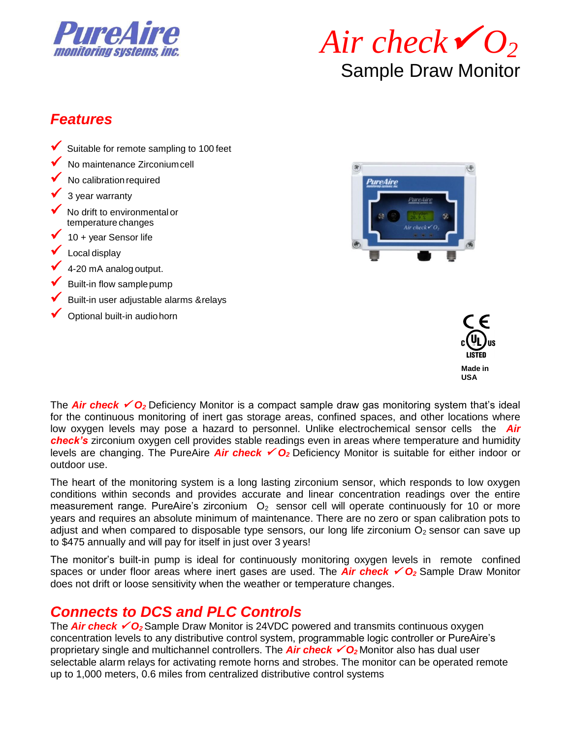



### *Features*

- ✓ Suitable for remote sampling to 100 feet
- ✓ No maintenance Zirconiumcell
- No calibration required
- 3 year warranty
- ◆ No drift to environmental or temperature changes
- $\checkmark$  10 + year Sensor life
- Local display
- $\checkmark$  4-20 mA analog output.
- Built-in flow sample pump
- ✓ Built-in user adjustable alarms &relays
- $\checkmark$  Optional built-in audiohorn





The **Air check <del>✓</del> O**<sub>2</sub> Deficiency Monitor is a compact sample draw gas monitoring system that's ideal for the continuous monitoring of inert gas storage areas, confined spaces, and other locations where low oxygen levels may pose a hazard to personnel. Unlike electrochemical sensor cells the *Air check's* zirconium oxygen cell provides stable readings even in areas where temperature and humidity levels are changing. The PureAire *Air check* ✓ *O2* Deficiency Monitor is suitable for either indoor or outdoor use.

The heart of the monitoring system is a long lasting zirconium sensor, which responds to low oxygen conditions within seconds and provides accurate and linear concentration readings over the entire measurement range. PureAire's zirconium  $O<sub>2</sub>$  sensor cell will operate continuously for 10 or more years and requires an absolute minimum of maintenance. There are no zero or span calibration pots to adjust and when compared to disposable type sensors, our long life zirconium  $O<sub>2</sub>$  sensor can save up to \$475 annually and will pay for itself in just over 3 years!

The monitor's built-in pump is ideal for continuously monitoring oxygen levels in remote confined spaces or under floor areas where inert gases are used. The **Air check**   $\checkmark$  O<sub>2</sub> Sample Draw Monitor does not drift or loose sensitivity when the weather or temperature changes.

## *Connects to DCS and PLC Controls*

The **Air check ✓ O**<sub>2</sub> Sample Draw Monitor is 24VDC powered and transmits continuous oxygen concentration levels to any distributive control system, programmable logic controller or PureAire's proprietary single and multichannel controllers. The **Air check**  ∕O<sub>2</sub> Monitor also has dual user selectable alarm relays for activating remote horns and strobes. The monitor can be operated remote up to 1,000 meters, 0.6 miles from centralized distributive control systems